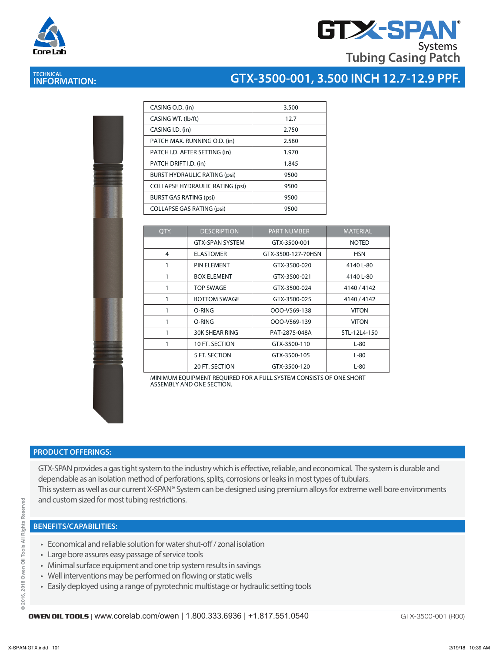



# **TECHNICAL INFORMATION:**

## **GTX-3500-001, 3.500 INCH 12.7-12.9 PPF.**

|   | <b>Contract of the Season</b> |  |
|---|-------------------------------|--|
|   |                               |  |
|   |                               |  |
|   | l<br>i                        |  |
|   | á                             |  |
|   |                               |  |
|   |                               |  |
|   |                               |  |
|   |                               |  |
|   |                               |  |
|   |                               |  |
|   |                               |  |
|   |                               |  |
|   |                               |  |
|   |                               |  |
|   |                               |  |
|   |                               |  |
|   |                               |  |
|   |                               |  |
|   |                               |  |
|   |                               |  |
|   |                               |  |
|   | <b>Contract</b>               |  |
|   |                               |  |
| ٠ | ×                             |  |
|   | ì                             |  |
|   |                               |  |
|   |                               |  |
|   | â                             |  |
| f |                               |  |
|   |                               |  |

| CASING O.D. (in)                       | 3.500 |
|----------------------------------------|-------|
| CASING WT. (Ib/ft)                     | 12.7  |
| CASING I.D. (in)                       | 2.750 |
| PATCH MAX. RUNNING O.D. (in)           | 2.580 |
| PATCH I.D. AFTER SETTING (in)          | 1.970 |
| PATCH DRIFT I.D. (in)                  | 1.845 |
| <b>BURST HYDRAULIC RATING (psi)</b>    | 9500  |
| <b>COLLAPSE HYDRAULIC RATING (psi)</b> | 9500  |
| <b>BURST GAS RATING (psi)</b>          | 9500  |
| <b>COLLAPSE GAS RATING (psi)</b>       | 9500  |

| QTY. | <b>DESCRIPTION</b>     | <b>PART NUMBER</b> | <b>MATERIAL</b> |
|------|------------------------|--------------------|-----------------|
|      | <b>GTX-SPAN SYSTEM</b> | GTX-3500-001       | <b>NOTED</b>    |
| 4    | <b>ELASTOMER</b>       | GTX-3500-127-70HSN | <b>HSN</b>      |
|      | PIN ELEMENT            | GTX-3500-020       | 4140 L-80       |
|      | <b>BOX ELEMENT</b>     | GTX-3500-021       | 4140 L-80       |
| 1    | <b>TOP SWAGE</b>       | GTX-3500-024       | 4140 / 4142     |
|      | <b>BOTTOM SWAGE</b>    | GTX-3500-025       | 4140/4142       |
|      | O-RING                 | OOO-V569-138       | <b>VITON</b>    |
|      | O-RING                 | OOO-V569-139       | <b>VITON</b>    |
|      | <b>30K SHEAR RING</b>  | PAT-2875-048A      | STL-12L4-150    |
|      | 10 FT. SECTION         | GTX-3500-110       | $L-80$          |
|      | 5 FT. SECTION          | GTX-3500-105       | L-80            |
|      | <b>20 FT. SECTION</b>  | GTX-3500-120       | $L-80$          |

MINIMUM EQUIPMENT REQUIRED FOR A FULL SYSTEM CONSISTS OF ONE SHORT ASSEMBLY AND ONE SECTION.

#### **PRODUCT OFFERINGS:**

GTX-SPAN provides a gas tight system to the industry which is effective, reliable, and economical. The system is durable and dependable as an isolation method of perforations, splits, corrosions or leaks in most types of tubulars. This system as well as our current X-SPAN® System can be designed using premium alloys for extreme well bore environments and custom sized for most tubing restrictions.

#### **BENEFITS/CAPABILITIES:**

- Economical and reliable solution for water shut-off / zonal isolation
- Large bore assures easy passage of service tools
- Minimal surface equipment and one trip system results in savings
- Well interventions may be performed on flowing or static wells
- Easily deployed using a range of pyrotechnic multistage or hydraulic setting tools

GTX-3500-001 (R00)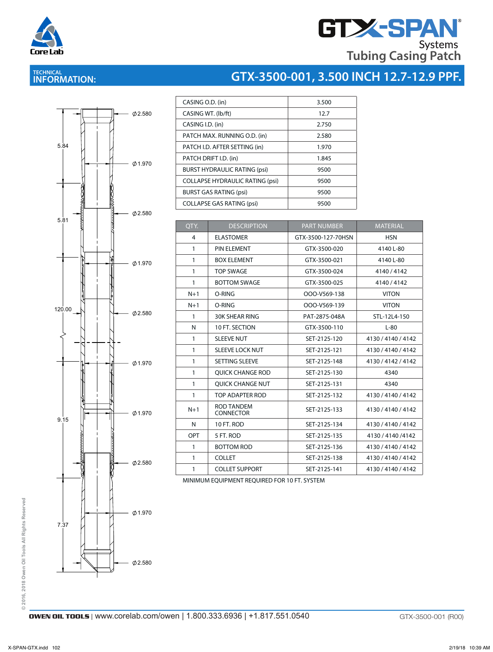

# **GTX-SPAN Tubing Casing Patch**

**GTX-3500-001, 3.500 INCH 12.7-12.9 PPF.**

# **TECHNICAL INFORMATION:**



| CASING O.D. (in)                       | 3.500 |
|----------------------------------------|-------|
| CASING WT. (lb/ft)                     | 12.7  |
| CASING I.D. (in)                       | 2.750 |
| PATCH MAX. RUNNING O.D. (in)           | 2.580 |
| PATCH I.D. AFTER SETTING (in)          | 1.970 |
| PATCH DRIFT I.D. (in)                  | 1.845 |
| <b>BURST HYDRAULIC RATING (psi)</b>    | 9500  |
| <b>COLLAPSE HYDRAULIC RATING (psi)</b> | 9500  |
| <b>BURST GAS RATING (psi)</b>          | 9500  |
| <b>COLLAPSE GAS RATING (psi)</b>       | 9500  |

| OTY.         | <b>DESCRIPTION</b>                    | <b>PART NUMBER</b> | <b>MATERIAL</b>    |
|--------------|---------------------------------------|--------------------|--------------------|
| 4            | <b>ELASTOMER</b>                      | GTX-3500-127-70HSN | <b>HSN</b>         |
| $\mathbf{1}$ | PIN ELEMENT                           | GTX-3500-020       | 4140 L-80          |
| 1            | <b>BOX ELEMENT</b>                    | GTX-3500-021       | 4140 L-80          |
| 1            | <b>TOP SWAGE</b>                      | GTX-3500-024       | 4140 / 4142        |
| 1            | <b>BOTTOM SWAGE</b>                   | GTX-3500-025       | 4140/4142          |
| $N+1$        | O-RING                                | OOO-V569-138       | <b>VITON</b>       |
| $N+1$        | O-RING                                | OOO-V569-139       | <b>VITON</b>       |
| 1            | <b>30K SHEAR RING</b>                 | PAT-2875-048A      | STL-12L4-150       |
| N            | 10 FT. SECTION                        | GTX-3500-110       | $L-80$             |
| 1            | <b>SLEEVE NUT</b>                     | SET-2125-120       | 4130 / 4140 / 4142 |
| $\mathbf{1}$ | <b>SLEEVE LOCK NUT</b>                | SET-2125-121       | 4130 / 4140 / 4142 |
| 1            | SETTING SLEEVE                        | SET-2125-148       | 4130 / 4142 / 4142 |
| 1            | <b>OUICK CHANGE ROD</b>               | SET-2125-130       | 4340               |
| $\mathbf{1}$ | <b>OUICK CHANGE NUT</b>               | SET-2125-131       | 4340               |
| 1            | TOP ADAPTER ROD                       | SET-2125-132       | 4130 / 4140 / 4142 |
| $N+1$        | <b>ROD TANDEM</b><br><b>CONNECTOR</b> | SET-2125-133       | 4130 / 4140 / 4142 |
| N            | 10 FT, ROD                            | SET-2125-134       | 4130 / 4140 / 4142 |
| OPT          | 5 FT. ROD                             | SET-2125-135       | 4130 / 4140 / 4142 |
| 1            | <b>BOTTOM ROD</b>                     | SET-2125-136       | 4130 / 4140 / 4142 |
| 1            | <b>COLLET</b>                         | SET-2125-138       | 4130 / 4140 / 4142 |
| 1            | <b>COLLET SUPPORT</b>                 | SET-2125-141       | 4130 / 4140 / 4142 |

MINIMUM EQUIPMENT REQUIRED FOR 10 FT. SYSTEM

© 2016, 2018 Owen Oil Tools All Rights Reserved **© 2016, 2018 Owen Oil Tools All Rights Reserved**